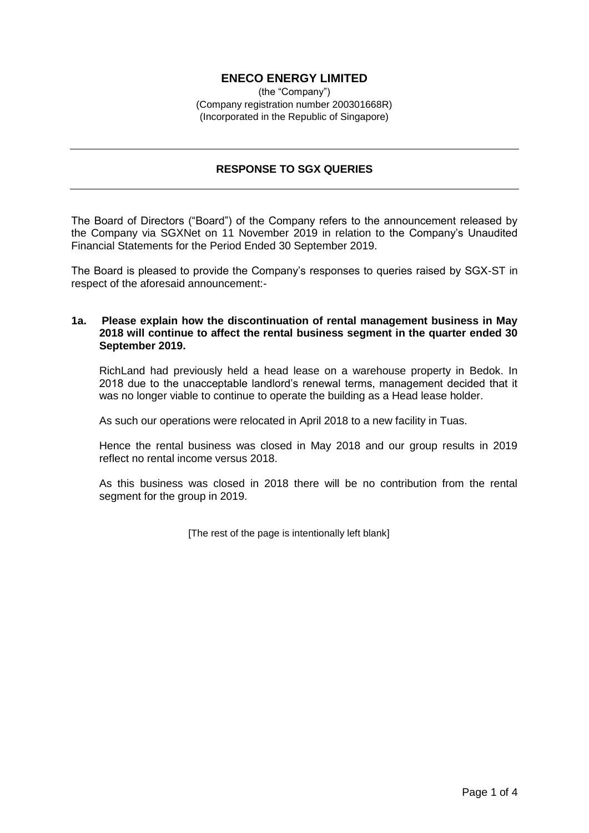# **ENECO ENERGY LIMITED**

(the "Company") (Company registration number 200301668R) (Incorporated in the Republic of Singapore)

## **RESPONSE TO SGX QUERIES**

The Board of Directors ("Board") of the Company refers to the announcement released by the Company via SGXNet on 11 November 2019 in relation to the Company's Unaudited Financial Statements for the Period Ended 30 September 2019.

The Board is pleased to provide the Company's responses to queries raised by SGX-ST in respect of the aforesaid announcement:-

### **1a. Please explain how the discontinuation of rental management business in May 2018 will continue to affect the rental business segment in the quarter ended 30 September 2019.**

RichLand had previously held a head lease on a warehouse property in Bedok. In 2018 due to the unacceptable landlord's renewal terms, management decided that it was no longer viable to continue to operate the building as a Head lease holder.

As such our operations were relocated in April 2018 to a new facility in Tuas.

Hence the rental business was closed in May 2018 and our group results in 2019 reflect no rental income versus 2018.

As this business was closed in 2018 there will be no contribution from the rental segment for the group in 2019.

[The rest of the page is intentionally left blank]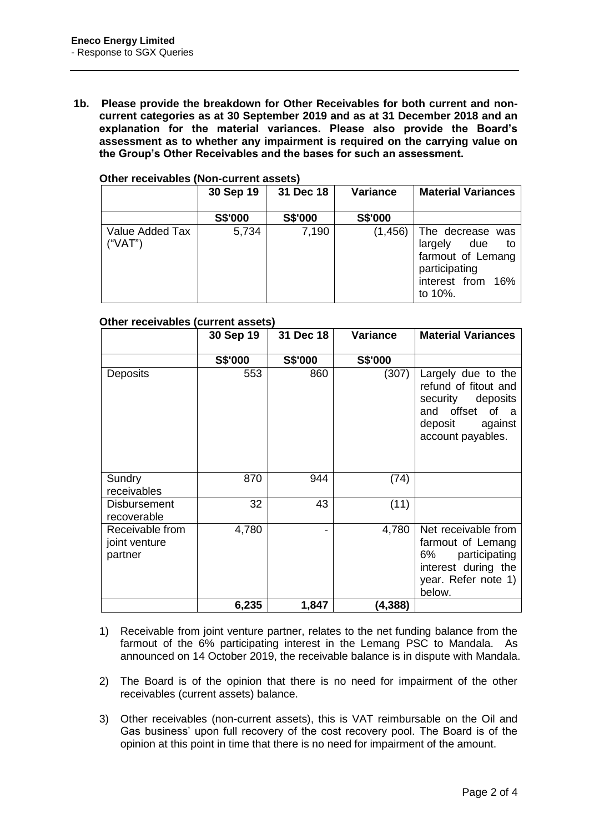**1b. Please provide the breakdown for Other Receivables for both current and noncurrent categories as at 30 September 2019 and as at 31 December 2018 and an explanation for the material variances. Please also provide the Board's assessment as to whether any impairment is required on the carrying value on the Group's Other Receivables and the bases for such an assessment.** 

|                            | 30 Sep 19 | 31 Dec 18      | <b>Variance</b> | <b>Material Variances</b>                                                                                         |
|----------------------------|-----------|----------------|-----------------|-------------------------------------------------------------------------------------------------------------------|
|                            | S\$'000   | <b>S\$'000</b> | <b>S\$'000</b>  |                                                                                                                   |
| Value Added Tax<br>("VAT") | 5,734     | 7,190          | (1, 456)        | The decrease was<br>largely<br>due<br>to to<br>farmout of Lemang<br>participating<br>interest from 16%<br>to 10%. |

#### **Other receivables (Non-current assets)**

#### **Other receivables (current assets)**

|                                             | 30 Sep 19      | 31 Dec 18      | Variance       | <b>Material Variances</b>                                                                                                             |
|---------------------------------------------|----------------|----------------|----------------|---------------------------------------------------------------------------------------------------------------------------------------|
|                                             | <b>S\$'000</b> | <b>S\$'000</b> | <b>S\$'000</b> |                                                                                                                                       |
| Deposits                                    | 553            | 860            | (307)          | Largely due to the<br>refund of fitout and<br>security deposits<br>and offset<br>of<br>- a<br>deposit<br>against<br>account payables. |
| Sundry<br>receivables                       | 870            | 944            | (74)           |                                                                                                                                       |
| <b>Disbursement</b><br>recoverable          | 32             | 43             | (11)           |                                                                                                                                       |
| Receivable from<br>joint venture<br>partner | 4,780          | -              | 4,780          | Net receivable from<br>farmout of Lemang<br>participating<br>6%<br>interest during the<br>year. Refer note 1)<br>below.               |
|                                             | 6,235          | 1,847          | (4,388)        |                                                                                                                                       |

- 1) Receivable from joint venture partner, relates to the net funding balance from the farmout of the 6% participating interest in the Lemang PSC to Mandala. As announced on 14 October 2019, the receivable balance is in dispute with Mandala.
- 2) The Board is of the opinion that there is no need for impairment of the other receivables (current assets) balance.
- 3) Other receivables (non-current assets), this is VAT reimbursable on the Oil and Gas business' upon full recovery of the cost recovery pool. The Board is of the opinion at this point in time that there is no need for impairment of the amount.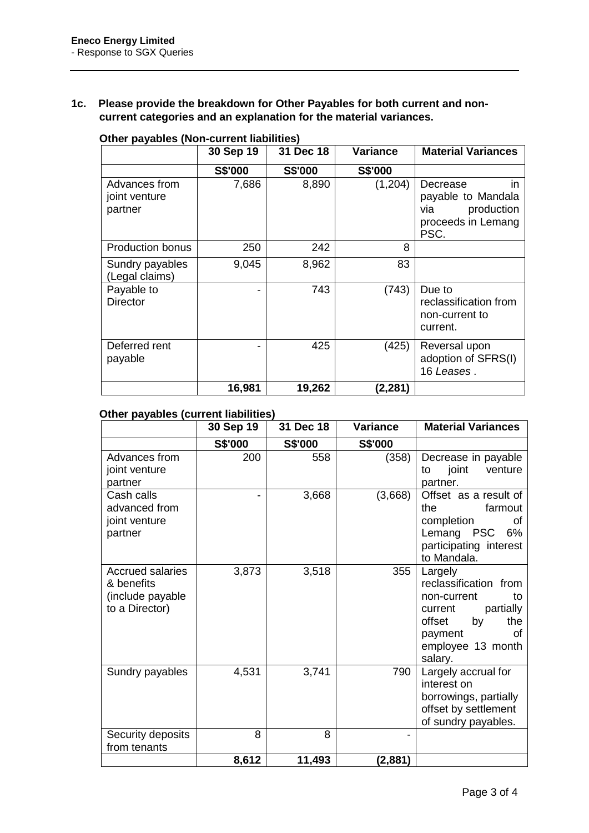# **1c. Please provide the breakdown for Other Payables for both current and noncurrent categories and an explanation for the material variances.**

|                                           | 30 Sep 19 | 31 Dec 18      | <b>Variance</b> | <b>Material Variances</b>                                                               |
|-------------------------------------------|-----------|----------------|-----------------|-----------------------------------------------------------------------------------------|
|                                           | S\$'000   | <b>S\$'000</b> | <b>S\$'000</b>  |                                                                                         |
| Advances from<br>joint venture<br>partner | 7,686     | 8,890          | (1,204)         | Decrease<br>in<br>payable to Mandala<br>production<br>via<br>proceeds in Lemang<br>PSC. |
| <b>Production bonus</b>                   | 250       | 242            | 8               |                                                                                         |
| Sundry payables<br>(Legal claims)         | 9,045     | 8,962          | 83              |                                                                                         |
| Payable to<br><b>Director</b>             |           | 743            | (743)           | Due to<br>reclassification from<br>non-current to<br>current.                           |
| Deferred rent<br>payable                  |           | 425            | (425)           | Reversal upon<br>adoption of SFRS(I)<br>16 Leases.                                      |
|                                           | 16,981    | 19,262         | (2,281)         |                                                                                         |

## **Other payables (Non-current liabilities)**

### **Other payables (current liabilities)**

|                                                                             | 30 Sep 19 | 31 Dec 18 | Variance | <b>Material Variances</b>                                                                                                                             |
|-----------------------------------------------------------------------------|-----------|-----------|----------|-------------------------------------------------------------------------------------------------------------------------------------------------------|
|                                                                             | S\$'000   | S\$'000   | S\$'000  |                                                                                                                                                       |
| Advances from<br>joint venture<br>partner                                   | 200       | 558       | (358)    | Decrease in payable<br>joint<br>venture<br>to<br>partner.                                                                                             |
| Cash calls<br>advanced from<br>joint venture<br>partner                     |           | 3,668     | (3,668)  | Offset as a result of<br>the<br>farmout<br>completion<br>οf<br>Lemang PSC<br>6%<br>participating interest<br>to Mandala.                              |
| <b>Accrued salaries</b><br>& benefits<br>(include payable<br>to a Director) | 3,873     | 3,518     | 355      | Largely<br>reclassification from<br>non-current<br>to<br>partially<br>current<br>offset<br>the<br>by<br>payment<br>0f<br>employee 13 month<br>salary. |
| Sundry payables                                                             | 4,531     | 3,741     | 790      | Largely accrual for<br>interest on<br>borrowings, partially<br>offset by settlement<br>of sundry payables.                                            |
| Security deposits                                                           | 8         | 8         |          |                                                                                                                                                       |
| from tenants                                                                |           |           |          |                                                                                                                                                       |
|                                                                             | 8,612     | 11,493    | (2,881)  |                                                                                                                                                       |